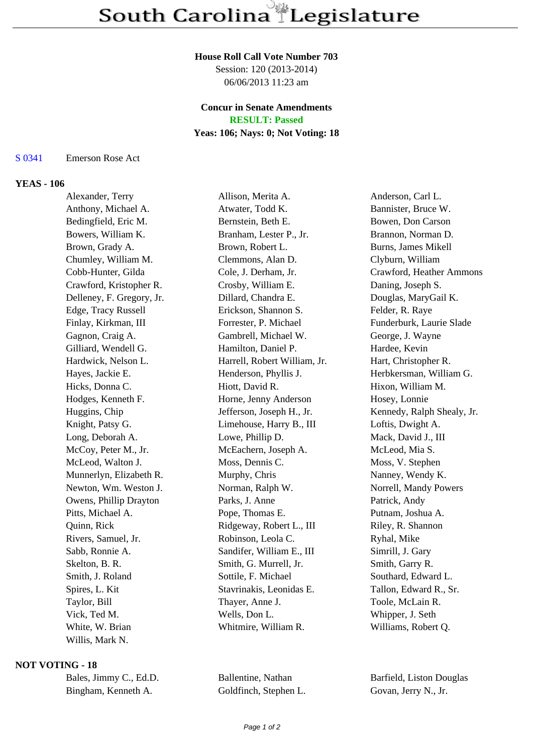#### **House Roll Call Vote Number 703**

Session: 120 (2013-2014) 06/06/2013 11:23 am

# **Concur in Senate Amendments**

**RESULT: Passed**

# **Yeas: 106; Nays: 0; Not Voting: 18**

S 0341 Emerson Rose Act

#### **YEAS - 106**

Alexander, Terry Allison, Merita A. Anderson, Carl L. Anthony, Michael A. **Atwater, Todd K.** Bannister, Bruce W. Bedingfield, Eric M. Bernstein, Beth E. Bowen, Don Carson Bowers, William K. Branham, Lester P., Jr. Brannon, Norman D. Brown, Grady A. Brown, Robert L. Burns, James Mikell Chumley, William M. Clemmons, Alan D. Clyburn, William Cobb-Hunter, Gilda Cole, J. Derham, Jr. Crawford, Heather Ammons Crawford, Kristopher R. Crosby, William E. Daning, Joseph S. Delleney, F. Gregory, Jr. Dillard, Chandra E. Douglas, MaryGail K. Edge, Tracy Russell Erickson, Shannon S. Felder, R. Raye Finlay, Kirkman, III Forrester, P. Michael Funderburk, Laurie Slade Gagnon, Craig A. Gambrell, Michael W. George, J. Wayne Gilliard, Wendell G. 
Hamilton, Daniel P. 
Hardee, Kevin Hardwick, Nelson L. Harrell, Robert William, Jr. Hart, Christopher R. Hayes, Jackie E. **Henderson, Phyllis J.** Herbkersman, William G. Hicks, Donna C. Hiott, David R. Hixon, William M. Hodges, Kenneth F. Horne, Jenny Anderson Hosey, Lonnie Huggins, Chip Jefferson, Joseph H., Jr. Kennedy, Ralph Shealy, Jr. Knight, Patsy G. Climehouse, Harry B., III Loftis, Dwight A. Long, Deborah A. Lowe, Phillip D. Mack, David J., III McCoy, Peter M., Jr. McEachern, Joseph A. McLeod, Mia S. McLeod, Walton J. Moss, Dennis C. Moss, V. Stephen Munnerlyn, Elizabeth R. Murphy, Chris Nanney, Wendy K. Newton, Wm. Weston J. Norman, Ralph W. Norrell, Mandy Powers Owens, Phillip Drayton Parks, J. Anne Patrick, Andy Pitts, Michael A. Pope, Thomas E. Putnam, Joshua A. Quinn, Rick **Ridgeway, Robert L., III** Riley, R. Shannon Rivers, Samuel, Jr. Robinson, Leola C. Ryhal, Mike Sabb, Ronnie A. Sandifer, William E., III Simrill, J. Gary Skelton, B. R. Smith, G. Murrell, Jr. Smith, Garry R. Smith, Garry R. Smith, J. Roland Sottile, F. Michael Southard, Edward L. Spires, L. Kit Stavrinakis, Leonidas E. Tallon, Edward R., Sr. Taylor, Bill Thayer, Anne J. Toole, McLain R. Vick, Ted M. Wells, Don L. Whipper, J. Seth White, W. Brian Whitmire, William R. Williams, Robert Q. Willis, Mark N.

### **NOT VOTING - 18**

| Bales, Jimmy C., Ed.D. |  |
|------------------------|--|
| Bingham, Kenneth A.    |  |

Goldfinch, Stephen L. Govan, Jerry N., Jr.

Ballentine, Nathan Barfield, Liston Douglas